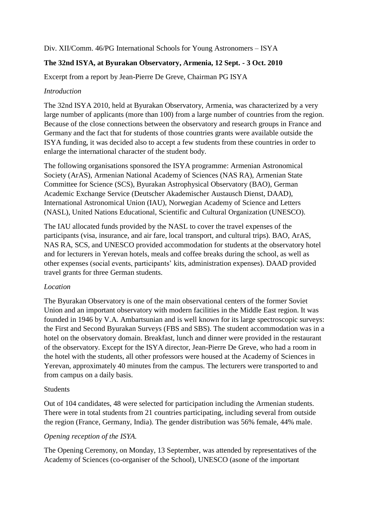Div. XII/Comm. 46/PG International Schools for Young Astronomers – ISYA

# **The 32nd ISYA, at Byurakan Observatory, Armenia, 12 Sept. - 3 Oct. 2010**

Excerpt from a report by Jean-Pierre De Greve, Chairman PG ISYA

### *Introduction*

The 32nd ISYA 2010, held at Byurakan Observatory, Armenia, was characterized by a very large number of applicants (more than 100) from a large number of countries from the region. Because of the close connections between the observatory and research groups in France and Germany and the fact that for students of those countries grants were available outside the ISYA funding, it was decided also to accept a few students from these countries in order to enlarge the international character of the student body.

The following organisations sponsored the ISYA programme: Armenian Astronomical Society (ArAS), Armenian National Academy of Sciences (NAS RA), Armenian State Committee for Science (SCS), Byurakan Astrophysical Observatory (BAO), German Academic Exchange Service (Deutscher Akademischer Austausch Dienst, DAAD), International Astronomical Union (IAU), Norwegian Academy of Science and Letters (NASL), United Nations Educational, Scientific and Cultural Organization (UNESCO).

The IAU allocated funds provided by the NASL to cover the travel expenses of the participants (visa, insurance, and air fare, local transport, and cultural trips). BAO, ArAS, NAS RA, SCS, and UNESCO provided accommodation for students at the observatory hotel and for lecturers in Yerevan hotels, meals and coffee breaks during the school, as well as other expenses (social events, participants' kits, administration expenses). DAAD provided travel grants for three German students.

### *Location*

The Byurakan Observatory is one of the main observational centers of the former Soviet Union and an important observatory with modern facilities in the Middle East region. It was founded in 1946 by V.A. Ambartsunian and is well known for its large spectroscopic surveys: the First and Second Byurakan Surveys (FBS and SBS). The student accommodation was in a hotel on the observatory domain. Breakfast, lunch and dinner were provided in the restaurant of the observatory. Except for the ISYA director, Jean-Pierre De Greve, who had a room in the hotel with the students, all other professors were housed at the Academy of Sciences in Yerevan, approximately 40 minutes from the campus. The lecturers were transported to and from campus on a daily basis.

#### **Students**

Out of 104 candidates, 48 were selected for participation including the Armenian students. There were in total students from 21 countries participating, including several from outside the region (France, Germany, India). The gender distribution was 56% female, 44% male.

#### *Opening reception of the ISYA.*

The Opening Ceremony, on Monday, 13 September, was attended by representatives of the Academy of Sciences (co-organiser of the School), UNESCO (asone of the important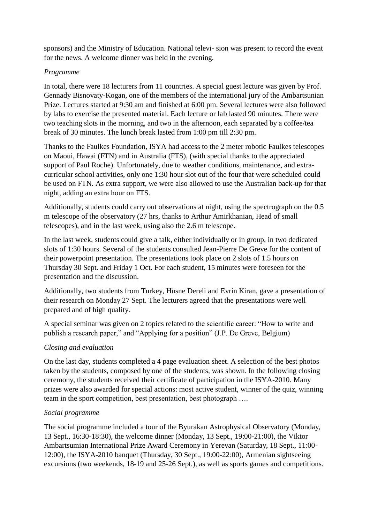sponsors) and the Ministry of Education. National televi- sion was present to record the event for the news. A welcome dinner was held in the evening.

### *Programme*

In total, there were 18 lecturers from 11 countries. A special guest lecture was given by Prof. Gennady Bisnovaty-Kogan, one of the members of the international jury of the Ambartsunian Prize. Lectures started at 9:30 am and finished at 6:00 pm. Several lectures were also followed by labs to exercise the presented material. Each lecture or lab lasted 90 minutes. There were two teaching slots in the morning, and two in the afternoon, each separated by a coffee/tea break of 30 minutes. The lunch break lasted from 1:00 pm till 2:30 pm.

Thanks to the Faulkes Foundation, ISYA had access to the 2 meter robotic Faulkes telescopes on Maoui, Hawai (FTN) and in Australia (FTS), (with special thanks to the appreciated support of Paul Roche). Unfortunately, due to weather conditions, maintenance, and extracurricular school activities, only one 1:30 hour slot out of the four that were scheduled could be used on FTN. As extra support, we were also allowed to use the Australian back-up for that night, adding an extra hour on FTS.

Additionally, students could carry out observations at night, using the spectrograph on the 0.5 m telescope of the observatory (27 hrs, thanks to Arthur Amirkhanian, Head of small telescopes), and in the last week, using also the 2.6 m telescope.

In the last week, students could give a talk, either individually or in group, in two dedicated slots of 1:30 hours. Several of the students consulted Jean-Pierre De Greve for the content of their powerpoint presentation. The presentations took place on 2 slots of 1.5 hours on Thursday 30 Sept. and Friday 1 Oct. For each student, 15 minutes were foreseen for the presentation and the discussion.

Additionally, two students from Turkey, Hüsne Dereli and Evrin Kiran, gave a presentation of their research on Monday 27 Sept. The lecturers agreed that the presentations were well prepared and of high quality.

A special seminar was given on 2 topics related to the scientific career: "How to write and publish a research paper," and "Applying for a position" (J.P. De Greve, Belgium)

# *Closing and evaluation*

On the last day, students completed a 4 page evaluation sheet. A selection of the best photos taken by the students, composed by one of the students, was shown. In the following closing ceremony, the students received their certificate of participation in the ISYA-2010. Many prizes were also awarded for special actions: most active student, winner of the quiz, winning team in the sport competition, best presentation, best photograph ….

# *Social programme*

The social programme included a tour of the Byurakan Astrophysical Observatory (Monday, 13 Sept., 16:30-18:30), the welcome dinner (Monday, 13 Sept., 19:00-21:00), the Viktor Ambartsumian International Prize Award Ceremony in Yerevan (Saturday, 18 Sept., 11:00- 12:00), the ISYA-2010 banquet (Thursday, 30 Sept., 19:00-22:00), Armenian sightseeing excursions (two weekends, 18-19 and 25-26 Sept.), as well as sports games and competitions.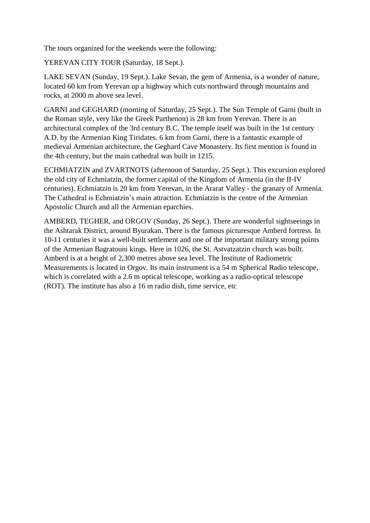The tours organized for the weekends were the following:

YEREVAN CITY TOUR (Saturday, 18 Sept.).

LAKE SEVAN (Sunday, 19 Sept.). Lake Sevan, the gem of Armenia, is a wonder of nature, located 60 km from Yerevan up a highway which cuts northward through mountains and rocks, at 2000 m above sea level.

GARNI and GEGHARD (morning of Saturday, 25 Sept.). The Sun Temple of Garni (built in the Roman style, very like the Greek Parthenon) is 28 km from Yerevan. There is an architectural complex of the 3rd century B.C. The temple itself was built in the 1st century A.D. by the Armenian King Tiridates. 6 km from Garni, there is a fantastic example of medieval Armenian architecture, the Geghard Cave Monastery. Its first mention is found in the 4th century, but the main cathedral was built in 1215.

ECHMIATZIN and ZVARTNOTS (afternoon of Saturday, 25 Sept.). This excursion explored the old city of Echmiatzin, the former capital of the Kingdom of Armenia (in the II-IV centuries). Echmiatzin is 20 km from Yerevan, in the Ararat Valley - the granary of Armenia. The Cathedral is Echmiatzin's main attraction. Echmiatzin is the centre of the Armenian Apostolic Church and all the Armenian eparchies.

AMBERD, TEGHER, and ORGOV (Sunday, 26 Sept.). There are wonderful sightseeings in the Ashtarak District, around Byurakan. There is the famous picturesque Amberd fortress. In 10-11 centuries it was a well-built settlement and one of the important military strong points of the Armenian Bagratouni kings. Here in 1026, the St. Astvatzatzin church was built. Amberd is at a height of 2,300 metres above sea level. The Institute of Radiometric Measurements is located in Orgov. Its main instrument is a 54 m Spherical Radio telescope, which is correlated with a 2.6 m optical telescope, working as a radio-optical telescope (ROT). The institute has also a 16 m radio dish, time service, etc